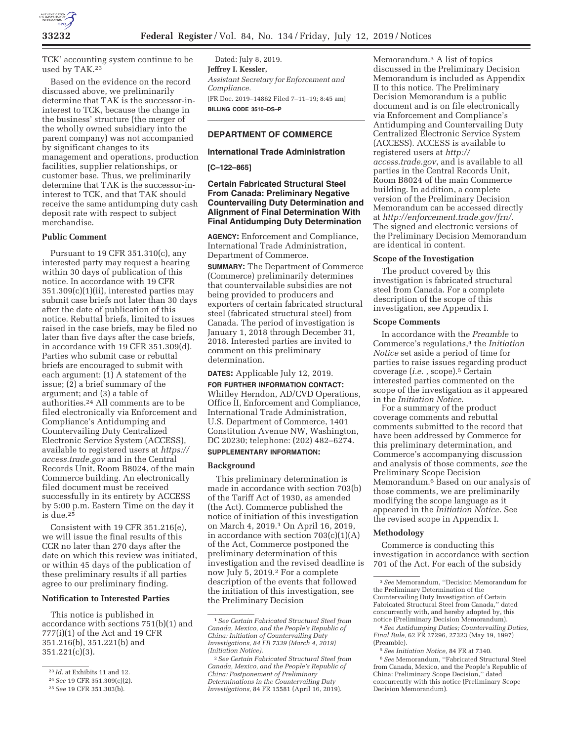

TCK' accounting system continue to be used by TAK.23

Based on the evidence on the record discussed above, we preliminarily determine that TAK is the successor-ininterest to TCK, because the change in the business' structure (the merger of the wholly owned subsidiary into the parent company) was not accompanied by significant changes to its management and operations, production facilities, supplier relationships, or customer base. Thus, we preliminarily determine that TAK is the successor-ininterest to TCK, and that TAK should receive the same antidumping duty cash deposit rate with respect to subject merchandise.

#### **Public Comment**

Pursuant to 19 CFR 351.310(c), any interested party may request a hearing within 30 days of publication of this notice. In accordance with 19 CFR 351.309(c)(1)(ii), interested parties may submit case briefs not later than 30 days after the date of publication of this notice. Rebuttal briefs, limited to issues raised in the case briefs, may be filed no later than five days after the case briefs, in accordance with 19 CFR 351.309(d). Parties who submit case or rebuttal briefs are encouraged to submit with each argument: (1) A statement of the issue; (2) a brief summary of the argument; and (3) a table of authorities.24 All comments are to be filed electronically via Enforcement and Compliance's Antidumping and Countervailing Duty Centralized Electronic Service System (ACCESS), available to registered users at *https:// access.trade.gov* and in the Central Records Unit, Room B8024, of the main Commerce building. An electronically filed document must be received successfully in its entirety by ACCESS by 5:00 p.m. Eastern Time on the day it is due.25

Consistent with 19 CFR 351.216(e), we will issue the final results of this CCR no later than 270 days after the date on which this review was initiated, or within 45 days of the publication of these preliminary results if all parties agree to our preliminary finding.

#### **Notification to Interested Parties**

This notice is published in accordance with sections 751(b)(1) and 777(i)(1) of the Act and 19 CFR 351.216(b), 351.221(b) and 351.221(c)(3).

Dated: July 8, 2019. **Jeffrey I. Kessler,**  *Assistant Secretary for Enforcement and Compliance.*  [FR Doc. 2019–14862 Filed 7–11–19; 8:45 am] **BILLING CODE 3510–DS–P** 

### **DEPARTMENT OF COMMERCE**

#### **International Trade Administration**

**[C–122–865]** 

### **Certain Fabricated Structural Steel From Canada: Preliminary Negative Countervailing Duty Determination and Alignment of Final Determination With Final Antidumping Duty Determination**

**AGENCY:** Enforcement and Compliance, International Trade Administration, Department of Commerce.

**SUMMARY:** The Department of Commerce (Commerce) preliminarily determines that countervailable subsidies are not being provided to producers and exporters of certain fabricated structural steel (fabricated structural steel) from Canada. The period of investigation is January 1, 2018 through December 31, 2018. Interested parties are invited to comment on this preliminary determination.

#### **DATES:** Applicable July 12, 2019.

**FOR FURTHER INFORMATION CONTACT:**  Whitley Herndon, AD/CVD Operations, Office II, Enforcement and Compliance, International Trade Administration, U.S. Department of Commerce, 1401 Constitution Avenue NW, Washington, DC 20230; telephone: (202) 482–6274. **SUPPLEMENTARY INFORMATION:** 

#### **Background**

This preliminary determination is made in accordance with section 703(b) of the Tariff Act of 1930, as amended (the Act). Commerce published the notice of initiation of this investigation on March 4, 2019.1 On April 16, 2019, in accordance with section  $703(c)(1)(A)$ of the Act, Commerce postponed the preliminary determination of this investigation and the revised deadline is now July 5, 2019.2 For a complete description of the events that followed the initiation of this investigation, see the Preliminary Decision

Memorandum.3 A list of topics discussed in the Preliminary Decision Memorandum is included as Appendix II to this notice. The Preliminary Decision Memorandum is a public document and is on file electronically via Enforcement and Compliance's Antidumping and Countervailing Duty Centralized Electronic Service System (ACCESS). ACCESS is available to registered users at *http:// access.trade.gov*, and is available to all parties in the Central Records Unit, Room B8024 of the main Commerce building. In addition, a complete version of the Preliminary Decision Memorandum can be accessed directly at *http://enforcement.trade.gov/frn/.*  The signed and electronic versions of the Preliminary Decision Memorandum are identical in content.

#### **Scope of the Investigation**

The product covered by this investigation is fabricated structural steel from Canada. For a complete description of the scope of this investigation, see Appendix I.

### **Scope Comments**

In accordance with the *Preamble* to Commerce's regulations,4 the *Initiation Notice* set aside a period of time for parties to raise issues regarding product coverage (*i.e.* , scope).5 Certain interested parties commented on the scope of the investigation as it appeared in the *Initiation Notice*.

For a summary of the product coverage comments and rebuttal comments submitted to the record that have been addressed by Commerce for this preliminary determination, and Commerce's accompanying discussion and analysis of those comments, *see* the Preliminary Scope Decision Memorandum.6 Based on our analysis of those comments, we are preliminarily modifying the scope language as it appeared in the *Initiation Notice*. See the revised scope in Appendix I.

### **Methodology**

Commerce is conducting this investigation in accordance with section 701 of the Act. For each of the subsidy

<sup>23</sup> *Id.* at Exhibits 11 and 12.

<sup>24</sup>*See* 19 CFR 351.309(c)(2).

<sup>25</sup>*See* 19 CFR 351.303(b).

<sup>1</sup>*See Certain Fabricated Structural Steel from Canada, Mexico, and the People's Republic of China: Initiation of Countervailing Duty Investigations, 84 FR 7339 (March 4, 2019) (Initiation Notice).* 

<sup>2</sup>*See Certain Fabricated Structural Steel from Canada, Mexico, and the People's Republic of China: Postponement of Preliminary Determinations in the Countervailing Duty Investigations,* 84 FR 15581 (April 16, 2019).

<sup>3</sup>*See* Memorandum, ''Decision Memorandum for the Preliminary Determination of the Countervailing Duty Investigation of Certain Fabricated Structural Steel from Canada,'' dated concurrently with, and hereby adopted by, this notice (Preliminary Decision Memorandum).

<sup>4</sup>*See Antidumping Duties; Countervailing Duties, Final Rule,* 62 FR 27296, 27323 (May 19, 1997) (Preamble).

<sup>5</sup>*See Initiation Notice,* 84 FR at 7340.

<sup>6</sup>*See* Memorandum, ''Fabricated Structural Steel from Canada, Mexico, and the People's Republic of China: Preliminary Scope Decision,'' dated concurrently with this notice (Preliminary Scope Decision Memorandum).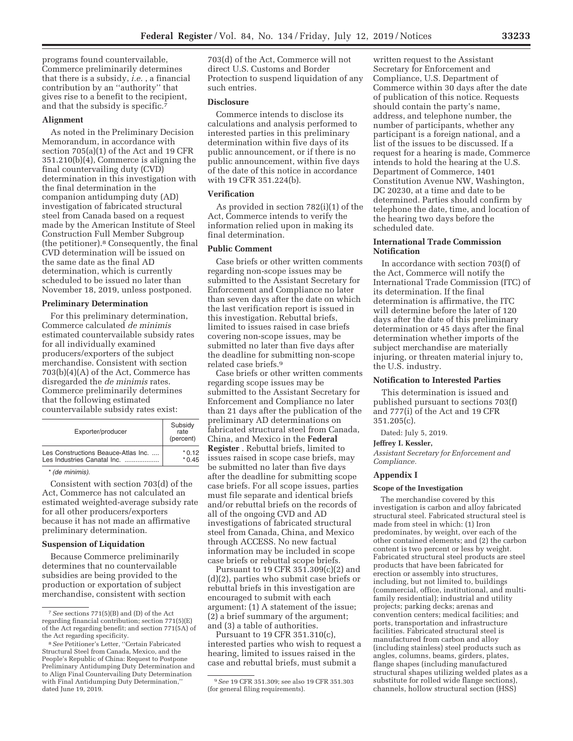programs found countervailable, Commerce preliminarily determines that there is a subsidy, *i.e.* , a financial contribution by an ''authority'' that gives rise to a benefit to the recipient, and that the subsidy is specific.7

#### **Alignment**

As noted in the Preliminary Decision Memorandum, in accordance with section 705(a)(1) of the Act and 19 CFR 351.210(b)(4), Commerce is aligning the final countervailing duty (CVD) determination in this investigation with the final determination in the companion antidumping duty (AD) investigation of fabricated structural steel from Canada based on a request made by the American Institute of Steel Construction Full Member Subgroup (the petitioner).8 Consequently, the final CVD determination will be issued on the same date as the final AD determination, which is currently scheduled to be issued no later than November 18, 2019, unless postponed.

#### **Preliminary Determination**

For this preliminary determination, Commerce calculated *de minimis*  estimated countervailable subsidy rates for all individually examined producers/exporters of the subject merchandise. Consistent with section 703(b)(4)(A) of the Act, Commerce has disregarded the *de minimis* rates. Commerce preliminarily determines that the following estimated countervailable subsidy rates exist:

| Les Constructions Beauce-Atlas Inc.<br>Les Industries Canatal Inc. | Exporter/producer | Subsidy<br>rate<br>(percent) |
|--------------------------------------------------------------------|-------------------|------------------------------|
|                                                                    |                   | * 0.12<br>$*$ 0.45           |

#### \*(de minimis).

Consistent with section 703(d) of the Act, Commerce has not calculated an estimated weighted-average subsidy rate for all other producers/exporters because it has not made an affirmative preliminary determination.

#### **Suspension of Liquidation**

Because Commerce preliminarily determines that no countervailable subsidies are being provided to the production or exportation of subject merchandise, consistent with section 703(d) of the Act, Commerce will not direct U.S. Customs and Border Protection to suspend liquidation of any such entries.

### **Disclosure**

Commerce intends to disclose its calculations and analysis performed to interested parties in this preliminary determination within five days of its public announcement, or if there is no public announcement, within five days of the date of this notice in accordance with 19 CFR 351.224(b).

### **Verification**

As provided in section 782(i)(1) of the Act, Commerce intends to verify the information relied upon in making its final determination.

### **Public Comment**

Case briefs or other written comments regarding non-scope issues may be submitted to the Assistant Secretary for Enforcement and Compliance no later than seven days after the date on which the last verification report is issued in this investigation. Rebuttal briefs, limited to issues raised in case briefs covering non-scope issues, may be submitted no later than five days after the deadline for submitting non-scope related case briefs.9

Case briefs or other written comments regarding scope issues may be submitted to the Assistant Secretary for Enforcement and Compliance no later than 21 days after the publication of the preliminary AD determinations on fabricated structural steel from Canada, China, and Mexico in the **Federal Register** . Rebuttal briefs, limited to issues raised in scope case briefs, may be submitted no later than five days after the deadline for submitting scope case briefs. For all scope issues, parties must file separate and identical briefs and/or rebuttal briefs on the records of all of the ongoing CVD and AD investigations of fabricated structural steel from Canada, China, and Mexico through ACCESS. No new factual information may be included in scope case briefs or rebuttal scope briefs.

Pursuant to 19 CFR 351.309(c)(2) and (d)(2), parties who submit case briefs or rebuttal briefs in this investigation are encouraged to submit with each argument: (1) A statement of the issue; (2) a brief summary of the argument; and (3) a table of authorities.

Pursuant to 19 CFR 351.310(c), interested parties who wish to request a hearing, limited to issues raised in the case and rebuttal briefs, must submit a

written request to the Assistant Secretary for Enforcement and Compliance, U.S. Department of Commerce within 30 days after the date of publication of this notice. Requests should contain the party's name, address, and telephone number, the number of participants, whether any participant is a foreign national, and a list of the issues to be discussed. If a request for a hearing is made, Commerce intends to hold the hearing at the U.S. Department of Commerce, 1401 Constitution Avenue NW, Washington, DC 20230, at a time and date to be determined. Parties should confirm by telephone the date, time, and location of the hearing two days before the scheduled date.

### **International Trade Commission Notification**

In accordance with section 703(f) of the Act, Commerce will notify the International Trade Commission (ITC) of its determination. If the final determination is affirmative, the ITC will determine before the later of 120 days after the date of this preliminary determination or 45 days after the final determination whether imports of the subject merchandise are materially injuring, or threaten material injury to, the U.S. industry.

### **Notification to Interested Parties**

This determination is issued and published pursuant to sections 703(f) and 777(i) of the Act and 19 CFR 351.205(c).

Dated: July 5, 2019.

### **Jeffrey I. Kessler,**

*Assistant Secretary for Enforcement and Compliance.* 

#### **Appendix I**

### **Scope of the Investigation**

The merchandise covered by this investigation is carbon and alloy fabricated structural steel. Fabricated structural steel is made from steel in which: (1) Iron predominates, by weight, over each of the other contained elements; and (2) the carbon content is two percent or less by weight. Fabricated structural steel products are steel products that have been fabricated for erection or assembly into structures, including, but not limited to, buildings (commercial, office, institutional, and multifamily residential); industrial and utility projects; parking decks; arenas and convention centers; medical facilities; and ports, transportation and infrastructure facilities. Fabricated structural steel is manufactured from carbon and alloy (including stainless) steel products such as angles, columns, beams, girders, plates, flange shapes (including manufactured structural shapes utilizing welded plates as a substitute for rolled wide flange sections), channels, hollow structural section (HSS)

<sup>7</sup>*See* sections 771(5)(B) and (D) of the Act regarding financial contribution; section 771(5)(E) of the Act regarding benefit; and section 771(5A) of the Act regarding specificity.

<sup>8</sup>*See* Petitioner's Letter, ''Certain Fabricated Structural Steel from Canada, Mexico, and the People's Republic of China: Request to Postpone Preliminary Antidumping Duty Determination and to Align Final Countervailing Duty Determination with Final Antidumping Duty Determination,'' dated June 19, 2019.

<sup>9</sup>*See* 19 CFR 351.309; see also 19 CFR 351.303 (for general filing requirements).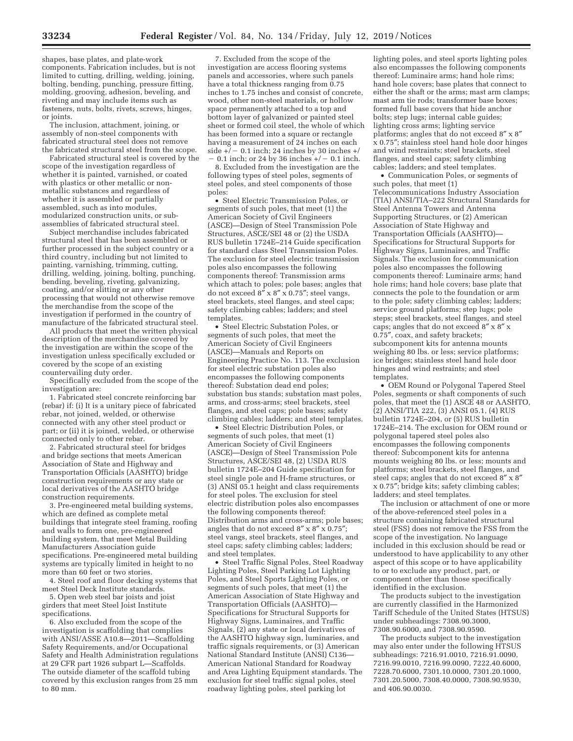shapes, base plates, and plate-work components. Fabrication includes, but is not limited to cutting, drilling, welding, joining, bolting, bending, punching, pressure fitting, molding, grooving, adhesion, beveling, and riveting and may include items such as fasteners, nuts, bolts, rivets, screws, hinges, or joints.

The inclusion, attachment, joining, or assembly of non-steel components with fabricated structural steel does not remove the fabricated structural steel from the scope.

Fabricated structural steel is covered by the scope of the investigation regardless of whether it is painted, varnished, or coated with plastics or other metallic or nonmetallic substances and regardless of whether it is assembled or partially assembled, such as into modules, modularized construction units, or subassemblies of fabricated structural steel.

Subject merchandise includes fabricated structural steel that has been assembled or further processed in the subject country or a third country, including but not limited to painting, varnishing, trimming, cutting, drilling, welding, joining, bolting, punching, bending, beveling, riveting, galvanizing, coating, and/or slitting or any other processing that would not otherwise remove the merchandise from the scope of the investigation if performed in the country of manufacture of the fabricated structural steel.

All products that meet the written physical description of the merchandise covered by the investigation are within the scope of the investigation unless specifically excluded or covered by the scope of an existing countervailing duty order.

Specifically excluded from the scope of the investigation are:

1. Fabricated steel concrete reinforcing bar (rebar) if: (i) It is a unitary piece of fabricated rebar, not joined, welded, or otherwise connected with any other steel product or part; or (ii) it is joined, welded, or otherwise connected only to other rebar.

2. Fabricated structural steel for bridges and bridge sections that meets American Association of State and Highway and Transportation Officials (AASHTO) bridge construction requirements or any state or local derivatives of the AASHTO bridge construction requirements.

3. Pre-engineered metal building systems, which are defined as complete metal buildings that integrate steel framing, roofing and walls to form one, pre-engineered building system, that meet Metal Building Manufacturers Association guide specifications. Pre-engineered metal building systems are typically limited in height to no more than 60 feet or two stories.

4. Steel roof and floor decking systems that meet Steel Deck Institute standards.

5. Open web steel bar joists and joist girders that meet Steel Joist Institute specifications.

6. Also excluded from the scope of the investigation is scaffolding that complies with ANSI/ASSE A10.8—2011—Scaffolding Safety Requirements, and/or Occupational Safety and Health Administration regulations at 29 CFR part 1926 subpart L—Scaffolds. The outside diameter of the scaffold tubing covered by this exclusion ranges from 25 mm to 80 mm.

7. Excluded from the scope of the investigation are access flooring systems panels and accessories, where such panels have a total thickness ranging from 0.75 inches to 1.75 inches and consist of concrete, wood, other non-steel materials, or hollow space permanently attached to a top and  $\overline{\text{bottom}}$  layer of galvanized or painted steel sheet or formed coil steel, the whole of which has been formed into a square or rectangle having a measurement of 24 inches on each side  $+/-$  0.1 inch; 24 inches by 30 inches  $+/-$ 0.1 inch; or 24 by 36 inches  $+/-$  0.1 inch.

8. Excluded from the investigation are the following types of steel poles, segments of steel poles, and steel components of those poles:

• Steel Electric Transmission Poles, or segments of such poles, that meet (1) the American Society of Civil Engineers (ASCE)—Design of Steel Transmission Pole Structures, ASCE/SEI 48 or (2) the USDA RUS bulletin 1724E–214 Guide specification for standard class Steel Transmission Poles. The exclusion for steel electric transmission poles also encompasses the following components thereof: Transmission arms which attach to poles; pole bases; angles that do not exceed  $8'' \times 8'' \times 0.75''$ ; steel vangs, steel brackets, steel flanges, and steel caps; safety climbing cables; ladders; and steel templates.

• Steel Electric Substation Poles, or segments of such poles, that meet the American Society of Civil Engineers (ASCE)—Manuals and Reports on Engineering Practice No. 113. The exclusion for steel electric substation poles also encompasses the following components thereof: Substation dead end poles; substation bus stands; substation mast poles, arms, and cross-arms; steel brackets, steel flanges, and steel caps; pole bases; safety climbing cables; ladders; and steel templates.

• Steel Electric Distribution Poles, or segments of such poles, that meet (1) American Society of Civil Engineers (ASCE)—Design of Steel Transmission Pole Structures, ASCE/SEI 48, (2) USDA RUS bulletin 1724E–204 Guide specification for steel single pole and H-frame structures, or (3) ANSI 05.1 height and class requirements for steel poles. The exclusion for steel electric distribution poles also encompasses the following components thereof: Distribution arms and cross-arms; pole bases; angles that do not exceed  $8'' \times 8'' \times 0.75''$ ; steel vangs, steel brackets, steel flanges, and steel caps; safety climbing cables; ladders; and steel templates.

• Steel Traffic Signal Poles, Steel Roadway Lighting Poles, Steel Parking Lot Lighting Poles, and Steel Sports Lighting Poles, or segments of such poles, that meet (1) the American Association of State Highway and Transportation Officials (AASHTO)— Specifications for Structural Supports for Highway Signs, Luminaires, and Traffic Signals, (2) any state or local derivatives of the AASHTO highway sign, luminaries, and traffic signals requirements, or (3) American National Standard Institute (ANSI) C136— American National Standard for Roadway and Area Lighting Equipment standards. The exclusion for steel traffic signal poles, steel roadway lighting poles, steel parking lot

lighting poles, and steel sports lighting poles also encompasses the following components thereof: Luminaire arms; hand hole rims; hand hole covers; base plates that connect to either the shaft or the arms; mast arm clamps; mast arm tie rods; transformer base boxes; formed full base covers that hide anchor bolts; step lugs; internal cable guides; lighting cross arms; lighting service platforms; angles that do not exceed 8″ x 8″ x 0.75″; stainless steel hand hole door hinges and wind restraints; steel brackets, steel flanges, and steel caps; safety climbing cables; ladders; and steel templates.

• Communication Poles, or segments of such poles, that meet (1) Telecommunications Industry Association (TIA) ANSI/TIA–222 Structural Standards for Steel Antenna Towers and Antenna Supporting Structures, or (2) American Association of State Highway and Transportation Officials (AASHTO)— Specifications for Structural Supports for Highway Signs, Luminaires, and Traffic Signals. The exclusion for communication poles also encompasses the following components thereof: Luminaire arms; hand hole rims; hand hole covers; base plate that connects the pole to the foundation or arm to the pole; safety climbing cables; ladders; service ground platforms; step lugs; pole steps; steel brackets, steel flanges, and steel caps; angles that do not exceed 8″ x 8″ x 0.75″, coax, and safety brackets; subcomponent kits for antenna mounts weighing 80 lbs. or less; service platforms; ice bridges; stainless steel hand hole door hinges and wind restraints; and steel templates.

• OEM Round or Polygonal Tapered Steel Poles, segments or shaft components of such poles, that meet the (1) ASCE 48 or AASHTO, (2) ANSI/TIA 222, (3) ANSI 05.1, (4) RUS bulletin 1724E–204, or (5) RUS bulletin 1724E–214. The exclusion for OEM round or polygonal tapered steel poles also encompasses the following components thereof: Subcomponent kits for antenna mounts weighing 80 lbs. or less; mounts and platforms; steel brackets, steel flanges, and steel caps; angles that do not exceed 8″ x 8″ x 0.75″; bridge kits; safety climbing cables; ladders; and steel templates.

The inclusion or attachment of one or more of the above-referenced steel poles in a structure containing fabricated structural steel (FSS) does not remove the FSS from the scope of the investigation. No language included in this exclusion should be read or understood to have applicability to any other aspect of this scope or to have applicability to or to exclude any product, part, or component other than those specifically identified in the exclusion.

The products subject to the investigation are currently classified in the Harmonized Tariff Schedule of the United States (HTSUS) under subheadings: 7308.90.3000, 7308.90.6000, and 7308.90.9590.

The products subject to the investigation may also enter under the following HTSUS subheadings: 7216.91.0010, 7216.91.0090, 7216.99.0010, 7216.99.0090, 7222.40.6000, 7228.70.6000, 7301.10.0000, 7301.20.1000, 7301.20.5000, 7308.40.0000, 7308.90.9530, and 406.90.0030.